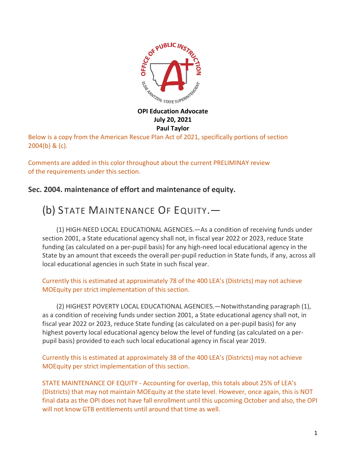

### **OPI Education Advocate July 20, 2021 Paul Taylor**

Below is a copy from the American Rescue Plan Act of 2021, specifically portions of section 2004(b) & (c).

Comments are added in this color throughout about the current PRELIMINAY review of the requirements under this section.

### **Sec. 2004. maintenance of effort and maintenance of equity.**

# (b) STATE MAINTENANCE OF EQUITY.—

(1) HIGH-NEED LOCAL EDUCATIONAL AGENCIES.—As a condition of receiving funds under section 2001, a State educational agency shall not, in fiscal year 2022 or 2023, reduce State funding (as calculated on a per-pupil basis) for any high-need local educational agency in the State by an amount that exceeds the overall per-pupil reduction in State funds, if any, across all local educational agencies in such State in such fiscal year.

### Currently this is estimated at approximately 78 of the 400 LEA's (Districts) may not achieve MOEquity per strict implementation of this section.

(2) HIGHEST POVERTY LOCAL EDUCATIONAL AGENCIES.—Notwithstanding paragraph (1), as a condition of receiving funds under section 2001, a State educational agency shall not, in fiscal year 2022 or 2023, reduce State funding (as calculated on a per-pupil basis) for any highest poverty local educational agency below the level of funding (as calculated on a perpupil basis) provided to each such local educational agency in fiscal year 2019.

Currently this is estimated at approximately 38 of the 400 LEA's (Districts) may not achieve MOEquity per strict implementation of this section.

STATE MAINTENANCE OF EQUITY - Accounting for overlap, this totals about 25% of LEA's (Districts) that may not maintain MOEquity at the state level. However, once again, this is NOT final data as the OPI does not have fall enrollment until this upcoming October and also, the OPI will not know GTB entitlements until around that time as well.